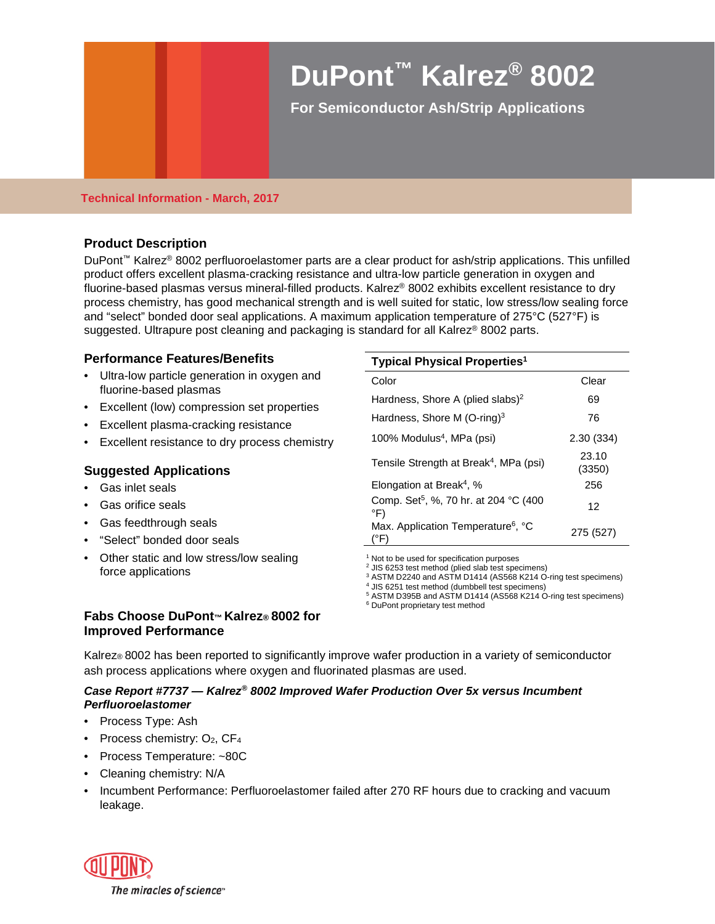# **DuPont™ Kalrez® 8002**

**For Semiconductor Ash/Strip Applications**

#### **Technical Information - March, 2017**

## **Product Description**

DuPont™ Kalrez® 8002 perfluoroelastomer parts are a clear product for ash/strip applications. This unfilled product offers excellent plasma-cracking resistance and ultra-low particle generation in oxygen and fluorine-based plasmas versus mineral-filled products. Kalrez® 8002 exhibits excellent resistance to dry process chemistry, has good mechanical strength and is well suited for static, low stress/low sealing force and "select" bonded door seal applications. A maximum application temperature of 275°C (527°F) is suggested. Ultrapure post cleaning and packaging is standard for all Kalrez<sup>®</sup> 8002 parts.

## **Performance Features/Benefits**

- Ultra-low particle generation in oxygen and fluorine-based plasmas
- Excellent (low) compression set properties
- Excellent plasma-cracking resistance
- Excellent resistance to dry process chemistry

## **Suggested Applications**

- Gas inlet seals
- Gas orifice seals
- Gas feedthrough seals
- "Select" bonded door seals
- Other static and low stress/low sealing force applications

#### **Typical Physical Properties1**

| . .                                                             |                 |
|-----------------------------------------------------------------|-----------------|
| Color                                                           | Clear           |
| Hardness, Shore A (plied slabs) <sup>2</sup>                    | 69              |
| Hardness, Shore M $(O\text{-ring})^3$                           | 76              |
| 100% Modulus <sup>4</sup> , MPa (psi)                           | 2.30(334)       |
| Tensile Strength at Break <sup>4</sup> , MPa (psi)              | 23.10<br>(3350) |
| Elongation at Break <sup>4</sup> , %                            | 256             |
| Comp. Set <sup>5</sup> , %, 70 hr. at 204 °C (400<br>°F)        | 12              |
| Max. Application Temperature <sup>6</sup> , °C<br>$(^{\circ}F)$ | 275 (527)       |

 $1$  Not to be used for specification purposes

<sup>2</sup> JIS 6253 test method (plied slab test specimens)

<sup>3</sup> ASTM D2240 and ASTM D1414 (AS568 K214 O-ring test specimens)

<sup>4</sup> JIS 6251 test method (dumbbell test specimens)

<sup>5</sup> ASTM D395B and ASTM D1414 (AS568 K214 O-ring test specimens)

<sup>6</sup> DuPont proprietary test method

## **Fabs Choose DuPont™ Kalrez® 8002 for Improved Performance**

Kalrez® 8002 has been reported to significantly improve wafer production in a variety of semiconductor ash process applications where oxygen and fluorinated plasmas are used.

## *Case Report #7737 — Kalrez® 8002 Improved Wafer Production Over 5x versus Incumbent Perfluoroelastomer*

- Process Type: Ash
- Process chemistry:  $O_2$ ,  $CF_4$
- Process Temperature: ~80C
- Cleaning chemistry: N/A
- Incumbent Performance: Perfluoroelastomer failed after 270 RF hours due to cracking and vacuum leakage.